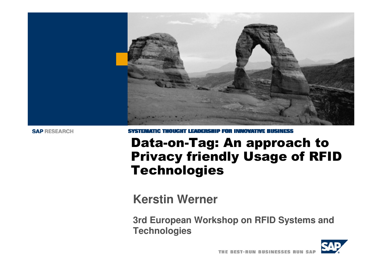

# Data-on-Tag: An approach to Privacy friendly Usage of RFID Technologies

**Kerstin Werner**

**3rd European Workshop on RFID Systems and Technologies**

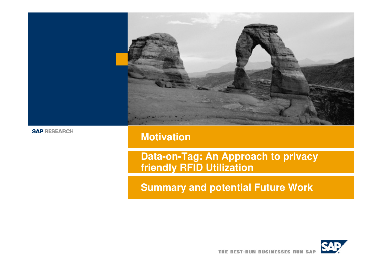

### **Motivation**

**Data-on-Tag: An Approach to privacy friendly RFID Utilization**

**Summary and potential Future Work**

![](_page_1_Picture_5.jpeg)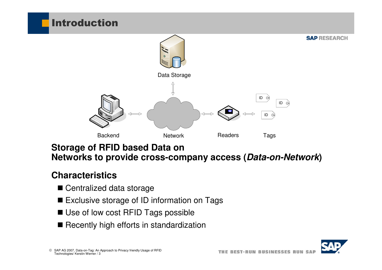![](_page_2_Figure_0.jpeg)

### **Storage of RFID based Data on Networks to provide cross-company access (Data-on-Network)**

### **Characteristics**

- Centralized data storage
- $\blacksquare$  Exclusive storage of ID information on Tags
- Use of low cost RFID Tags possible
- Recently high efforts in standardization

![](_page_2_Picture_7.jpeg)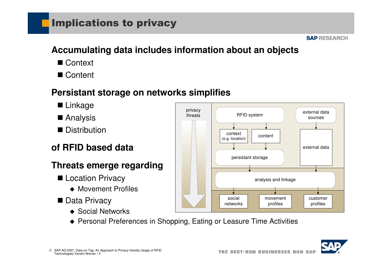## Implications to privacy

#### **SAP RESEARCH**

## **Accumulating data includes information about an objects**

- Context
- Content

#### **Persistant storage on networks simplifies**

- Linkage
- **■** Analysis
- Distribution

### **of RFID based data**

#### **Threats emerge regarding**

- Location Privacy
	- ◆ Movement Profiles
- Data Privacy
	- ◆ Social Networks

![](_page_3_Figure_15.jpeg)

◆ Personal Preferences in Shopping, Eating or Leasure Time Activities

![](_page_3_Picture_17.jpeg)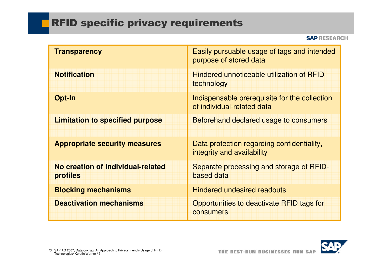## **RFID specific privacy requirements**

| <b>Transparency</b>                           | Easily pursuable usage of tags and intended<br>purpose of stored data       |
|-----------------------------------------------|-----------------------------------------------------------------------------|
| <b>Notification</b>                           | Hindered unnoticeable utilization of RFID-<br>technology                    |
| Opt-In                                        | Indispensable prerequisite for the collection<br>of individual-related data |
| <b>Limitation to specified purpose</b>        | Beforehand declared usage to consumers                                      |
| <b>Appropriate security measures</b>          | Data protection regarding confidentiality,<br>integrity and availability    |
| No creation of individual-related<br>profiles | Separate processing and storage of RFID-<br>based data                      |
| <b>Blocking mechanisms</b>                    | <b>Hindered undesired readouts</b>                                          |
| <b>Deactivation mechanisms</b>                | Opportunities to deactivate RFID tags for<br><b>consumers</b>               |

![](_page_4_Picture_3.jpeg)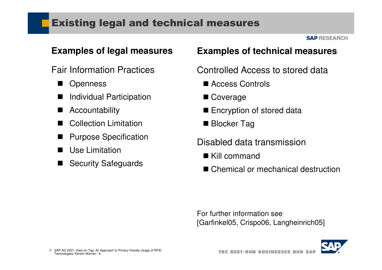## Existing legal and technical measures

#### **SAP RESEARCH**

#### **Examples of legal measures**

- Fair Information Practices
	- $\blacksquare$ **Openness**
	- $\blacksquare$ Individual Participation
	- $\blacksquare$ Accountability
	- $\blacksquare$ Collection Limitation
	- $\blacksquare$ Purpose Specification
	- $\blacksquare$ Use Limitation
	- $\blacksquare$ Security Safeguards

#### **Examples of technical measures**

Controlled Access to stored data

- Access Controls
- Coverage
- $\blacksquare$  Encryption of stored data
- Blocker Tag
- Disabled data transmission
	- Kill command
	- Chemical or mechanical destruction

For further information see[Garfinkel05, Crispo06, Langheinrich05]

![](_page_5_Picture_23.jpeg)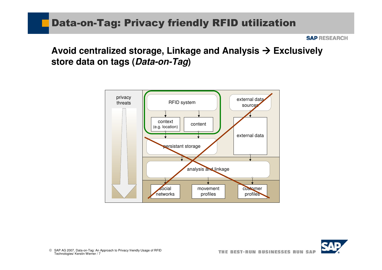### Data-on-Tag: Privacy friendly RFID utilization

**SAP RESEARCH** 

**Avoid centralized storage, Linkage and Analysis Exclusively store data on tags (Data-on-Tag)**

![](_page_6_Figure_3.jpeg)

![](_page_6_Picture_4.jpeg)

© SAP AG 2007, Data-on-Tag: An Approach to Privacy friendly Usage of RFID<br>Technologies/ Kerstin Werner / 7 Technologies/ Kerstin Werner / 7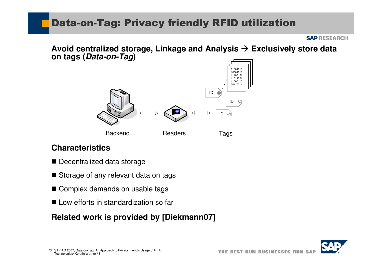## Data-on-Tag: Privacy friendly RFID utilization

**SAP RESEARCH** 

**Avoid centralized storage, Linkage and Analysis Exclusively store data on tags (Data-on-Tag)**

![](_page_7_Picture_3.jpeg)

#### **Characteristics**

- Decentralized data storage
- Storage of any relevant data on tags
- Complex demands on usable tags
- Low efforts in standardization so far

#### **Related work is provided by [Diekmann07]**

![](_page_7_Picture_10.jpeg)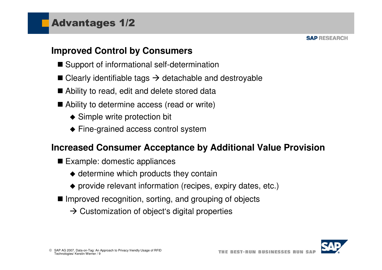#### **Improved Control by Consumers**

- Support of informational self-determination
- Clearly identifiable tags  $\rightarrow$  detachable and destroyable
- Ability to read, edit and delete stored data
- Ability to determine access (read or write)
	- ◆ Simple write protection bit
	- ◆ Fine-grained access control system

#### **Increased Consumer Acceptance by Additional Value Provision**

- Example: domestic appliances
	- $\blacklozenge$  determine which products they contain
	- provide relevant information (recipes, expiry dates, etc.)
- Improved recognition, sorting, and grouping of objects
	- $\rightarrow$  Customization of object's digital properties

![](_page_8_Picture_15.jpeg)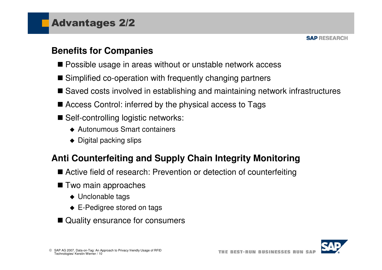#### **Benefits for Companies**

- Possible usage in areas without or unstable network access
- Simplified co-operation with frequently changing partners
- Saved costs involved in establishing and maintaining network infrastructures
- Access Control: inferred by the physical access to Tags
- Self-controlling logistic networks:
	- ◆ Autonumous Smart containers
	- $\blacklozenge$  Digital packing slips

### **Anti Counterfeiting and Supply Chain Integrity Monitoring**

- Active field of research: Prevention or detection of counterfeiting
- Two main approaches
	- ◆ Unclonable tags
	- ◆ E-Pedigree stored on tags
- Quality ensurance for consumers

![](_page_9_Picture_16.jpeg)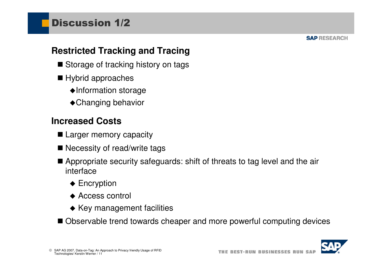#### **Restricted Tracking and Tracing**

- Storage of tracking history on tags
- Hybrid approaches
	- -Information storage
	- ◆ Changing behavior

#### **Increased Costs**

- Larger memory capacity
- Necessity of read/write tags
- Appropriate security safeguards: shift of threats to tag level and the air<br>interface interface
	- ◆ Encryption
	- ◆ Access control
	- ◆ Key management facilities
- Observable trend towards cheaper and more powerful computing devices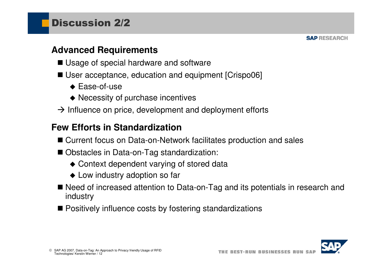#### **Advanced Requirements**

- Usage of special hardware and software
- User acceptance, education and equipment [Crispo06]
	- ◆ Ease-of-use
	- ◆ Necessity of purchase incentives
- $\rightarrow$  Influence on price, development and deployment efforts

#### **Few Efforts in Standardization**

- Current focus on Data-on-Network facilitates production and sales
- Obstacles in Data-on-Tag standardization:
	- ◆ Context dependent varying of stored data
	- ◆ Low industry adoption so far
- Need of increased attention to Data-on-Tag and its potentials in research and<br>industry industry
- Positively influence costs by fostering standardizations

![](_page_11_Picture_15.jpeg)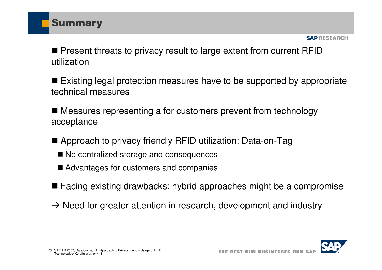![](_page_12_Picture_0.jpeg)

■ Present threats to privacy result to large extent from current RFID<br>…tili-etien utilization

■ Existing legal protection measures have to be supported by appropriate<br>technical mease was technical measures

■ Measures representing a for customers prevent from technology acceptance

- Approach to privacy friendly RFID utilization: Data-on-Tag
	- No centralized storage and consequences
	- Advantages for customers and companies
- Facing existing drawbacks: hybrid approaches might be a compromise
- $\rightarrow$  Need for greater attention in research, development and industry

![](_page_12_Picture_10.jpeg)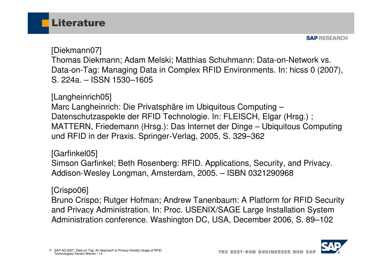![](_page_13_Picture_0.jpeg)

[Diekmann07]

Thomas Diekmann; Adam Melski; Matthias Schuhmann: Data-on-Network vs. Data-on-Tag: Managing Data in Complex RFID Environments. In: hicss 0 (2007), S. 224a. – ISSN 1530–1605

[Langheinrich05]

Marc Langheinrich: Die Privatsphäre im Ubiquitous Computing – Datenschutzaspekte der RFID Technologie. In: FLEISCH, Elgar (Hrsg.) ; MATTERN, Friedemann (Hrsg.): Das Internet der Dinge – Ubiquitous Computing und RFID in der Praxis. Springer-Verlag, 2005, S. 329–362

[Garfinkel05]

Simson Garfinkel; Beth Rosenberg: RFID. Applications, Security, and Privacy. Addison-Wesley Longman, Amsterdam, 2005. – ISBN 0321290968

#### [Crispo06]

Bruno Crispo; Rutger Hofman; Andrew Tanenbaum: A Platform for RFID Security and Privacy Administration. In: Proc. USENIX/SAGE Large Installation System Administration conference. Washington DC, USA, December 2006, S. 89–102

![](_page_13_Picture_10.jpeg)